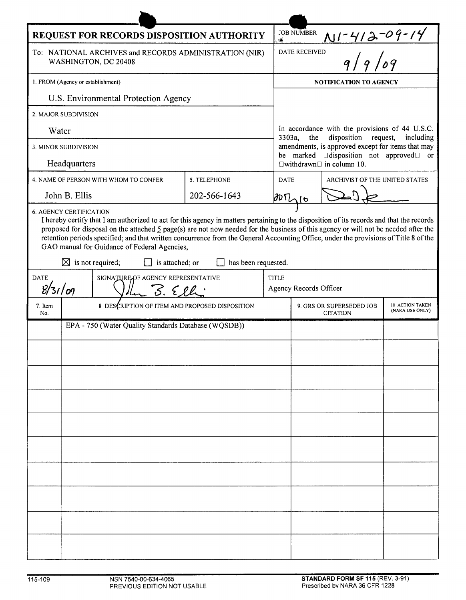| REQUEST FOR RECORDS DISPOSITION AUTHORITY                                                                                                                                                                                                                                                                                                                                                                                                                                                                                                                     |                                                      |  |              |              | <b>JOB NUMBER</b><br>YÆ.                                                                                        |                                |  |  |
|---------------------------------------------------------------------------------------------------------------------------------------------------------------------------------------------------------------------------------------------------------------------------------------------------------------------------------------------------------------------------------------------------------------------------------------------------------------------------------------------------------------------------------------------------------------|------------------------------------------------------|--|--------------|--------------|-----------------------------------------------------------------------------------------------------------------|--------------------------------|--|--|
| To: NATIONAL ARCHIVES and RECORDS ADMINISTRATION (NIR)<br>WASHINGTON, DC 20408                                                                                                                                                                                                                                                                                                                                                                                                                                                                                |                                                      |  |              |              | $N1 - 412 - 09 - 14$<br>DATE RECEIVED                                                                           |                                |  |  |
| 1. FROM (Agency or establishment)                                                                                                                                                                                                                                                                                                                                                                                                                                                                                                                             |                                                      |  |              |              | <b>NOTIFICATION TO AGENCY</b>                                                                                   |                                |  |  |
| U.S. Environmental Protection Agency                                                                                                                                                                                                                                                                                                                                                                                                                                                                                                                          |                                                      |  |              |              |                                                                                                                 |                                |  |  |
| 2. MAJOR SUBDIVISION                                                                                                                                                                                                                                                                                                                                                                                                                                                                                                                                          |                                                      |  |              |              |                                                                                                                 |                                |  |  |
| Water                                                                                                                                                                                                                                                                                                                                                                                                                                                                                                                                                         |                                                      |  |              |              | In accordance with the provisions of 44 U.S.C.<br>disposition request,<br>3303a,<br>the<br>including            |                                |  |  |
| 3. MINOR SUBDIVISION                                                                                                                                                                                                                                                                                                                                                                                                                                                                                                                                          |                                                      |  |              |              | amendments, is approved except for items that may<br>be marked <b>I</b> disposition not approved <b>I</b><br>or |                                |  |  |
| Headquarters                                                                                                                                                                                                                                                                                                                                                                                                                                                                                                                                                  |                                                      |  |              |              | $\Box$ withdrawn $\Box$ in column 10.                                                                           |                                |  |  |
| 4. NAME OF PERSON WITH WHOM TO CONFER                                                                                                                                                                                                                                                                                                                                                                                                                                                                                                                         |                                                      |  | 5. TELEPHONE | <b>DATE</b>  |                                                                                                                 | ARCHIVIST OF THE UNITED STATES |  |  |
| John B. Ellis                                                                                                                                                                                                                                                                                                                                                                                                                                                                                                                                                 |                                                      |  | 202-566-1643 |              | $BDT_{16}$                                                                                                      |                                |  |  |
| I hereby certify that I am authorized to act for this agency in matters pertaining to the disposition of its records and that the records<br>proposed for disposal on the attached $\frac{5}{2}$ page(s) are not now needed for the business of this agency or will not be needed after the<br>retention periods specified; and that written concurrence from the General Accounting Office, under the provisions of Title 8 of the<br>GAO manual for Guidance of Federal Agencies,<br>$\boxtimes$ is not required;<br>has been requested.<br>is attached; or |                                                      |  |              |              |                                                                                                                 |                                |  |  |
| <b>DATE</b><br>SIGNATURE OF AGENCY REPRESENTATIVE                                                                                                                                                                                                                                                                                                                                                                                                                                                                                                             |                                                      |  |              | <b>TITLE</b> |                                                                                                                 |                                |  |  |
| 8/31/09<br>3.522                                                                                                                                                                                                                                                                                                                                                                                                                                                                                                                                              |                                                      |  |              |              | Agency Records Officer                                                                                          |                                |  |  |
| 7. Item<br>No.                                                                                                                                                                                                                                                                                                                                                                                                                                                                                                                                                | 8 DESCRIPTION OF ITEM AND PROPOSED DISPOSITION       |  |              |              | 10 ACTION TAKEN<br>9. GRS OR SUPERSEDED JOB<br>(NARA USE ONLY)<br><b>CITATION</b>                               |                                |  |  |
|                                                                                                                                                                                                                                                                                                                                                                                                                                                                                                                                                               | EPA - 750 (Water Quality Standards Database (WQSDB)) |  |              |              |                                                                                                                 |                                |  |  |
|                                                                                                                                                                                                                                                                                                                                                                                                                                                                                                                                                               |                                                      |  |              |              |                                                                                                                 |                                |  |  |
|                                                                                                                                                                                                                                                                                                                                                                                                                                                                                                                                                               |                                                      |  |              |              |                                                                                                                 |                                |  |  |
|                                                                                                                                                                                                                                                                                                                                                                                                                                                                                                                                                               |                                                      |  |              |              |                                                                                                                 |                                |  |  |
|                                                                                                                                                                                                                                                                                                                                                                                                                                                                                                                                                               |                                                      |  |              |              |                                                                                                                 |                                |  |  |
|                                                                                                                                                                                                                                                                                                                                                                                                                                                                                                                                                               |                                                      |  |              |              |                                                                                                                 |                                |  |  |
|                                                                                                                                                                                                                                                                                                                                                                                                                                                                                                                                                               |                                                      |  |              |              |                                                                                                                 |                                |  |  |
|                                                                                                                                                                                                                                                                                                                                                                                                                                                                                                                                                               |                                                      |  |              |              |                                                                                                                 |                                |  |  |
|                                                                                                                                                                                                                                                                                                                                                                                                                                                                                                                                                               |                                                      |  |              |              |                                                                                                                 |                                |  |  |
|                                                                                                                                                                                                                                                                                                                                                                                                                                                                                                                                                               |                                                      |  |              |              |                                                                                                                 |                                |  |  |
|                                                                                                                                                                                                                                                                                                                                                                                                                                                                                                                                                               |                                                      |  |              |              |                                                                                                                 |                                |  |  |
|                                                                                                                                                                                                                                                                                                                                                                                                                                                                                                                                                               |                                                      |  |              |              |                                                                                                                 |                                |  |  |
|                                                                                                                                                                                                                                                                                                                                                                                                                                                                                                                                                               |                                                      |  |              |              |                                                                                                                 |                                |  |  |
|                                                                                                                                                                                                                                                                                                                                                                                                                                                                                                                                                               |                                                      |  |              |              |                                                                                                                 |                                |  |  |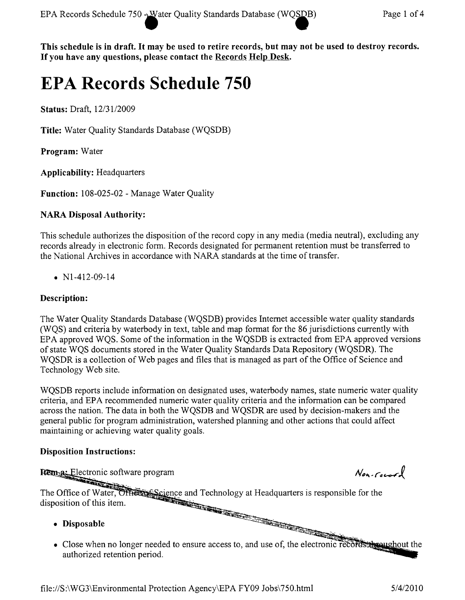This schedule is in draft. It may be used to retire records, but may not be used to destroy records. If you have any questions, please contact the Records Help Desk.

# **EPA Records Schedule 750**

Status: Draft, 12/31/2009

Title: Water Quality Standards Database (WQSDB)

Program: Water

Applicability: Headquarters

Function: 108-025-02 - Manage Water Quality

## NARA Disposal Authority:

This schedule authorizes the disposition of the record copy in any media (media neutral), excluding any records already in electronic form. Records designated for permanent retention must be transferred to the National Archives in accordance with NARA standards at the time of transfer.

•  $N1-412-09-14$ 

## Description:

The Water Quality Standards Database (WQSDB) provides Internet accessible water quality standards (WQS) and criteria by waterbody in text, table and map format for the 86 jurisdictions currently with EPA approved WQS. Some of the information in the WQSDB is extracted from EPA approved versions of state WQS documents stored in the Water Quality Standards Data Repository (WQSDR). The WQSDR is a collection of Web pages and files that is managed as part of the Office of Science and Technology Web site.

WQSDB reports include information on designated uses, waterbody names, state numeric water quality criteria, and EPA recommended numeric water quality criteria and the information can be compared across the nation. The data in both the WQSDB and WQSDR are used by decision-makers and the general public for program administration, watershed planning and other actions that could affect maintaining or achieving water quality goals.

### Disposition Instructions:

**Rema:** Electronic software program

The Office of Water, Officers Science and Technology at Headquarters is responsible for the disposition of this item.

- Disposable
- Close when no longer needed to ensure access to, and use of, the electronic records throughout the authorized retention period.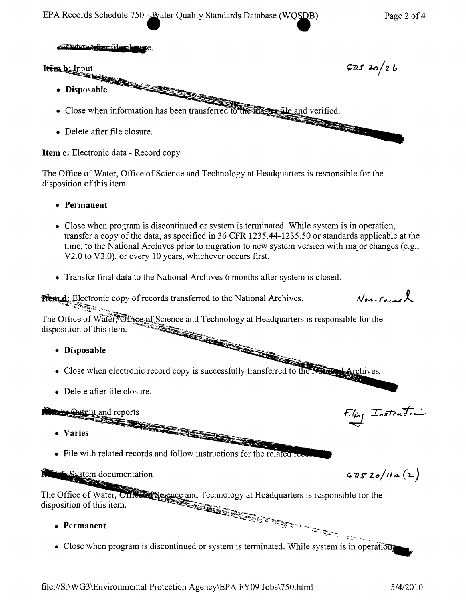

Item c: Electronic data - Record copy

The Office of Water, Office of Science and Technology at Headquarters is responsible for the disposition of this item.

- • Permanent
- Close when program is discontinued or system is terminated. While system is in operation, transfer a copy of the data, as specified in 36 CFR 1235.44-1235.50 or standards applicable at the time, to the National Archives prior to migration to new system version with major changes (e.g., V2.0 to V3.0), or every 10 years, whichever occurs first.
- Transfer final data to the National Archives 6 months after system is closed.

**From d:** Electronic copy of records transferred to the National Archives. ~-.~4;,.~~~.

The Office of Water, Office of Science and Technology at Headquarters is responsible for the disposition of this item.  $\mathbb{Z}_{\Delta \Sigma}$  .

- --'""'~- • Disposable .,...~~- ~~,.
- Close when electronic record copy is successfully transferred to the Naugust Archives.
- Delete after file closure.

## $\Theta$ utput and reports

- Varies "
- $\bullet$  File with related records and follow instructions for the related re-

**E** System documentation

The Office of Water, Office Science and Technology at Headquarters is responsible for the disposition of this item.

- • Permanent
- Close when program is discontinued or system is terminated. While system is in operations

 $N_{en-Geac}$ 

F.ling Instruction

 $GRS20/11a(2)$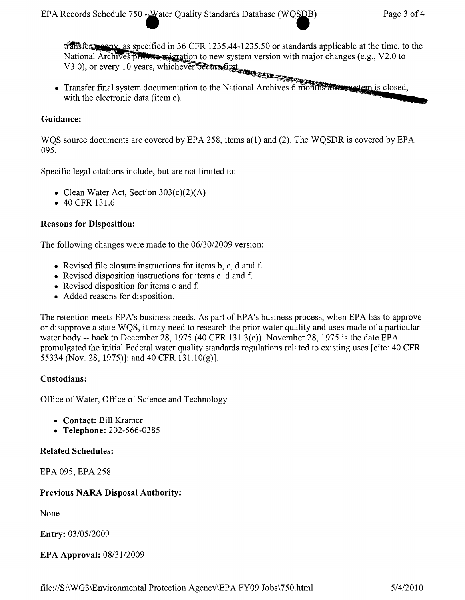transferred as specified in 36 CFR 1235.44-1235.50 or standards applicable at the time, to the National Archives process assignation to new system version with major changes (e.g., V2.0 to National Archives processes and we can still the V3.0), or every 10 years, whichever occurs first

• Transfer final system documentation to the National Archives 6 months allows vetern is closed, with the electronic data (item c).

#### Guidance:

WOS source documents are covered by EPA 258, items  $a(1)$  and (2). The WOSDR is covered by EPA 095.

Specific legal citations include, but are not limited to:

- Clean Water Act, Section  $303(c)(2)(A)$
- 40 CFR 131.6

#### Reasons for Disposition:

The following changes were made to the *06/30/2009* version:

- Revised file closure instructions for items  $b, c, d$  and f.
- Revised disposition instructions for items c, d and f.
- Revised disposition for items e and f.
- Added reasons for disposition.

The retention meets EPA's business needs. As part of EPA's business process, when EPA has to approve or disapprove a state WQS, it may need to research the prior water quality and uses made of a particular water body -- back to December 28,1975 (40 CFR 131.3(e)). November 28,1975 is the date EPA promulgated the initial Federal water quality standards regulations related to existing uses [cite: 40 CFR 55334 (Nov. 28, 1975)]; and 40 CFR 131.10(g)].

#### Custodians:

Office of Water, Office of Science and Technology

- • Contact: Bill Kramer
- Telephone: 202-566-0385

#### Related Schedules:

EPA 095, EPA 258

### Previous NARA Disposal Authority:

None

Entry: *0310512009*

EPA Approval: *08/3112009*